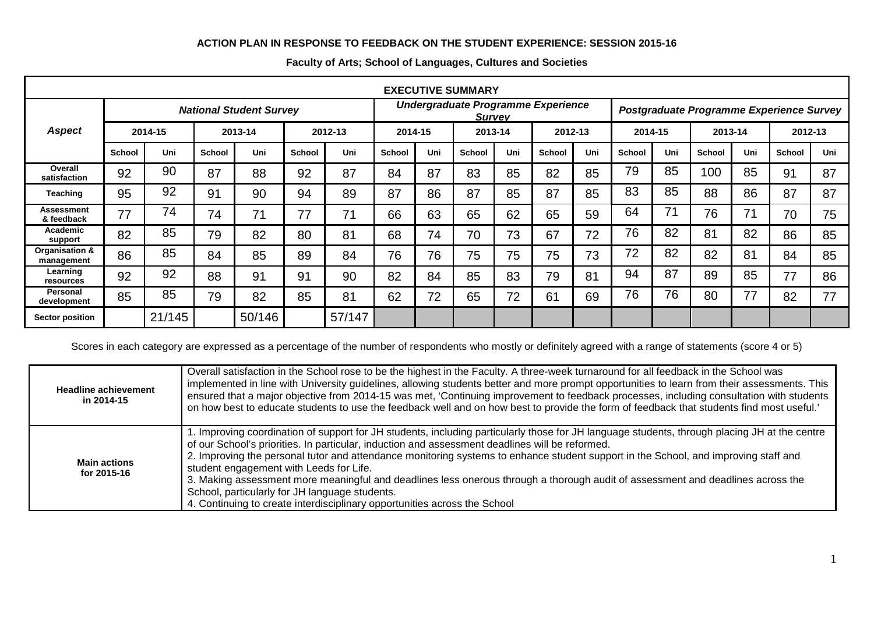## **ACTION PLAN IN RESPONSE TO FEEDBACK ON THE STUDENT EXPERIENCE: SESSION 2015-16**

| <b>EXECUTIVE SUMMARY</b>        |                                |         |        |         |                                                     |         |         |     |                                          |     |               |     |         |     |               |     |         |     |
|---------------------------------|--------------------------------|---------|--------|---------|-----------------------------------------------------|---------|---------|-----|------------------------------------------|-----|---------------|-----|---------|-----|---------------|-----|---------|-----|
|                                 | <b>National Student Survey</b> |         |        |         | Undergraduate Programme Experience<br><b>Survey</b> |         |         |     | Postgraduate Programme Experience Survey |     |               |     |         |     |               |     |         |     |
| <b>Aspect</b>                   |                                | 2014-15 |        | 2013-14 |                                                     | 2012-13 | 2014-15 |     | 2013-14                                  |     | 2012-13       |     | 2014-15 |     | 2013-14       |     | 2012-13 |     |
|                                 | School                         | Uni     | School | Uni     | <b>School</b>                                       | Uni     | School  | Uni | <b>School</b>                            | Uni | <b>School</b> | Uni | School  | Uni | <b>School</b> | Uni | School  | Uni |
| Overall<br>satisfaction         | 92                             | 90      | 87     | 88      | 92                                                  | 87      | 84      | 87  | 83                                       | 85  | 82            | 85  | 79      | 85  | 100           | 85  | 91      | 87  |
| Teaching                        | 95                             | 92      | 91     | 90      | 94                                                  | 89      | 87      | 86  | 87                                       | 85  | 87            | 85  | 83      | 85  | 88            | 86  | 87      | 87  |
| <b>Assessment</b><br>& feedback | 77                             | 74      | 74     | 71      | 77                                                  | 71      | 66      | 63  | 65                                       | 62  | 65            | 59  | 64      | 71  | 76            | 71  | 70      | 75  |
| Academic<br>support             | 82                             | 85      | 79     | 82      | 80                                                  | 81      | 68      | 74  | 70                                       | 73  | 67            | 72  | 76      | 82  | 81            | 82  | 86      | 85  |
| Organisation &<br>management    | 86                             | 85      | 84     | 85      | 89                                                  | 84      | 76      | 76  | 75                                       | 75  | 75            | 73  | 72      | 82  | 82            | 81  | 84      | 85  |
| Learning<br>resources           | 92                             | 92      | 88     | 91      | 91                                                  | 90      | 82      | 84  | 85                                       | 83  | 79            | 81  | 94      | 87  | 89            | 85  | 77      | 86  |
| Personal<br>development         | 85                             | 85      | 79     | 82      | 85                                                  | 81      | 62      | 72  | 65                                       | 72  | 61            | 69  | 76      | 76  | 80            | 77  | 82      | 77  |
| <b>Sector position</b>          |                                | 21/145  |        | 50/146  |                                                     | 57/147  |         |     |                                          |     |               |     |         |     |               |     |         |     |

## **Faculty of Arts; School of Languages, Cultures and Societies**

Scores in each category are expressed as a percentage of the number of respondents who mostly or definitely agreed with a range of statements (score 4 or 5)

| <b>Headline achievement</b><br>in 2014-15 | Overall satisfaction in the School rose to be the highest in the Faculty. A three-week turnaround for all feedback in the School was<br>implemented in line with University guidelines, allowing students better and more prompt opportunities to learn from their assessments. This<br>ensured that a major objective from 2014-15 was met, 'Continuing improvement to feedback processes, including consultation with students<br>on how best to educate students to use the feedback well and on how best to provide the form of feedback that students find most useful.'                                                                                                                        |
|-------------------------------------------|------------------------------------------------------------------------------------------------------------------------------------------------------------------------------------------------------------------------------------------------------------------------------------------------------------------------------------------------------------------------------------------------------------------------------------------------------------------------------------------------------------------------------------------------------------------------------------------------------------------------------------------------------------------------------------------------------|
| <b>Main actions</b><br>for 2015-16        | 1. Improving coordination of support for JH students, including particularly those for JH language students, through placing JH at the centre<br>of our School's priorities. In particular, induction and assessment deadlines will be reformed.<br>2. Improving the personal tutor and attendance monitoring systems to enhance student support in the School, and improving staff and<br>student engagement with Leeds for Life.<br>3. Making assessment more meaningful and deadlines less onerous through a thorough audit of assessment and deadlines across the<br>School, particularly for JH language students.<br>4. Continuing to create interdisciplinary opportunities across the School |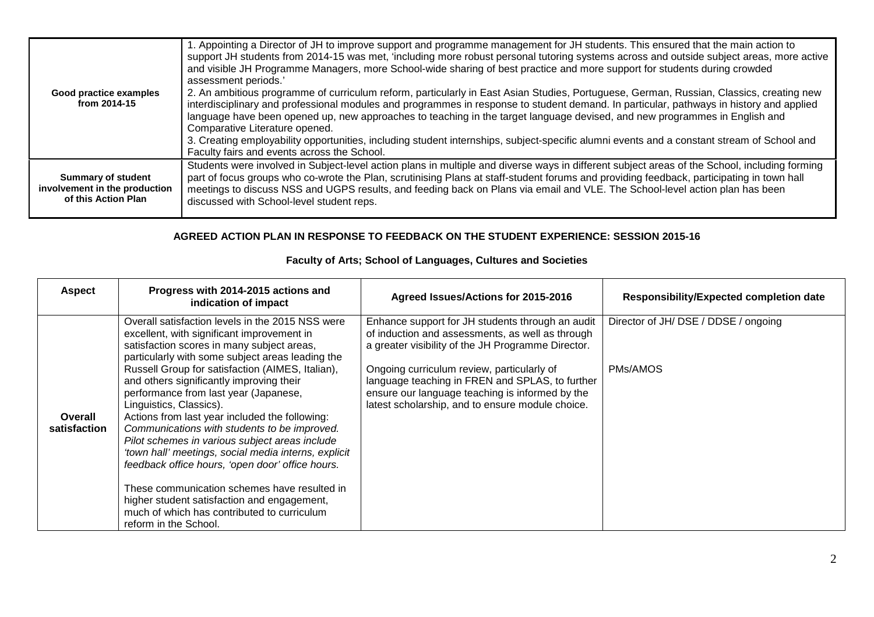| Good practice examples<br>from 2014-15                                            | I. Appointing a Director of JH to improve support and programme management for JH students. This ensured that the main action to<br>support JH students from 2014-15 was met, 'including more robust personal tutoring systems across and outside subject areas, more active<br>and visible JH Programme Managers, more School-wide sharing of best practice and more support for students during crowded<br>assessment periods.'<br>2. An ambitious programme of curriculum reform, particularly in East Asian Studies, Portuguese, German, Russian, Classics, creating new<br>interdisciplinary and professional modules and programmes in response to student demand. In particular, pathways in history and applied<br>language have been opened up, new approaches to teaching in the target language devised, and new programmes in English and<br>Comparative Literature opened.<br>3. Creating employability opportunities, including student internships, subject-specific alumni events and a constant stream of School and<br>Faculty fairs and events across the School. |
|-----------------------------------------------------------------------------------|--------------------------------------------------------------------------------------------------------------------------------------------------------------------------------------------------------------------------------------------------------------------------------------------------------------------------------------------------------------------------------------------------------------------------------------------------------------------------------------------------------------------------------------------------------------------------------------------------------------------------------------------------------------------------------------------------------------------------------------------------------------------------------------------------------------------------------------------------------------------------------------------------------------------------------------------------------------------------------------------------------------------------------------------------------------------------------------|
| <b>Summary of student</b><br>involvement in the production<br>of this Action Plan | Students were involved in Subject-level action plans in multiple and diverse ways in different subject areas of the School, including forming<br>part of focus groups who co-wrote the Plan, scrutinising Plans at staff-student forums and providing feedback, participating in town hall<br>meetings to discuss NSS and UGPS results, and feeding back on Plans via email and VLE. The School-level action plan has been<br>discussed with School-level student reps.                                                                                                                                                                                                                                                                                                                                                                                                                                                                                                                                                                                                              |

## **AGREED ACTION PLAN IN RESPONSE TO FEEDBACK ON THE STUDENT EXPERIENCE: SESSION 2015-16**

|  | Faculty of Arts; School of Languages, Cultures and Societies |
|--|--------------------------------------------------------------|

| <b>Aspect</b>           | Progress with 2014-2015 actions and<br>indication of impact                                                                                                                                                                                                                                                                                                                                                                                                                      | Agreed Issues/Actions for 2015-2016                                                                                                                                                                  | <b>Responsibility/Expected completion date</b> |
|-------------------------|----------------------------------------------------------------------------------------------------------------------------------------------------------------------------------------------------------------------------------------------------------------------------------------------------------------------------------------------------------------------------------------------------------------------------------------------------------------------------------|------------------------------------------------------------------------------------------------------------------------------------------------------------------------------------------------------|------------------------------------------------|
|                         | Overall satisfaction levels in the 2015 NSS were<br>excellent, with significant improvement in<br>satisfaction scores in many subject areas,<br>particularly with some subject areas leading the                                                                                                                                                                                                                                                                                 | Enhance support for JH students through an audit<br>of induction and assessments, as well as through<br>a greater visibility of the JH Programme Director.                                           | Director of JH/DSE / DDSE / ongoing            |
| Overall<br>satisfaction | Russell Group for satisfaction (AIMES, Italian),<br>and others significantly improving their<br>performance from last year (Japanese,<br>Linguistics, Classics).<br>Actions from last year included the following:<br>Communications with students to be improved.<br>Pilot schemes in various subject areas include<br>'town hall' meetings, social media interns, explicit<br>feedback office hours, 'open door' office hours.<br>These communication schemes have resulted in | Ongoing curriculum review, particularly of<br>language teaching in FREN and SPLAS, to further<br>ensure our language teaching is informed by the<br>latest scholarship, and to ensure module choice. | PMs/AMOS                                       |
|                         | higher student satisfaction and engagement,<br>much of which has contributed to curriculum<br>reform in the School.                                                                                                                                                                                                                                                                                                                                                              |                                                                                                                                                                                                      |                                                |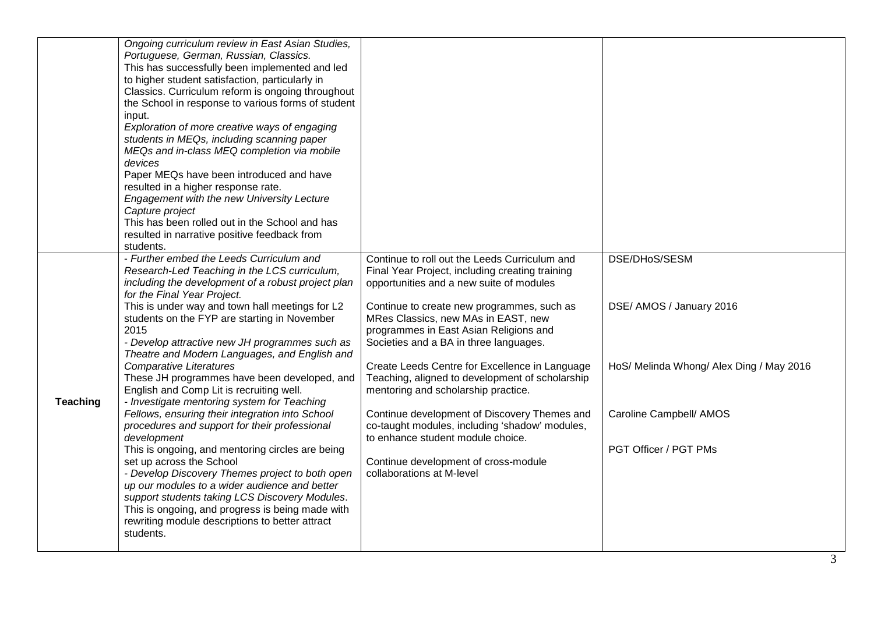|                 | Ongoing curriculum review in East Asian Studies,<br>Portuguese, German, Russian, Classics.<br>This has successfully been implemented and led<br>to higher student satisfaction, particularly in<br>Classics. Curriculum reform is ongoing throughout<br>the School in response to various forms of student<br>input.<br>Exploration of more creative ways of engaging<br>students in MEQs, including scanning paper<br>MEQs and in-class MEQ completion via mobile<br>devices<br>Paper MEQs have been introduced and have<br>resulted in a higher response rate.<br><b>Engagement with the new University Lecture</b><br>Capture project<br>This has been rolled out in the School and has<br>resulted in narrative positive feedback from<br>students.                                                                                                                                                                                                                                                                                               |                                                                                                                                                                                                                                                                                                                                                                                                                                                                                                                                                                                                                                                                               |                                                                                                                                           |
|-----------------|-------------------------------------------------------------------------------------------------------------------------------------------------------------------------------------------------------------------------------------------------------------------------------------------------------------------------------------------------------------------------------------------------------------------------------------------------------------------------------------------------------------------------------------------------------------------------------------------------------------------------------------------------------------------------------------------------------------------------------------------------------------------------------------------------------------------------------------------------------------------------------------------------------------------------------------------------------------------------------------------------------------------------------------------------------|-------------------------------------------------------------------------------------------------------------------------------------------------------------------------------------------------------------------------------------------------------------------------------------------------------------------------------------------------------------------------------------------------------------------------------------------------------------------------------------------------------------------------------------------------------------------------------------------------------------------------------------------------------------------------------|-------------------------------------------------------------------------------------------------------------------------------------------|
| <b>Teaching</b> | - Further embed the Leeds Curriculum and<br>Research-Led Teaching in the LCS curriculum,<br>including the development of a robust project plan<br>for the Final Year Project.<br>This is under way and town hall meetings for L2<br>students on the FYP are starting in November<br>2015<br>- Develop attractive new JH programmes such as<br>Theatre and Modern Languages, and English and<br><b>Comparative Literatures</b><br>These JH programmes have been developed, and<br>English and Comp Lit is recruiting well.<br>- Investigate mentoring system for Teaching<br>Fellows, ensuring their integration into School<br>procedures and support for their professional<br>development<br>This is ongoing, and mentoring circles are being<br>set up across the School<br>- Develop Discovery Themes project to both open<br>up our modules to a wider audience and better<br>support students taking LCS Discovery Modules.<br>This is ongoing, and progress is being made with<br>rewriting module descriptions to better attract<br>students. | Continue to roll out the Leeds Curriculum and<br>Final Year Project, including creating training<br>opportunities and a new suite of modules<br>Continue to create new programmes, such as<br>MRes Classics, new MAs in EAST, new<br>programmes in East Asian Religions and<br>Societies and a BA in three languages.<br>Create Leeds Centre for Excellence in Language<br>Teaching, aligned to development of scholarship<br>mentoring and scholarship practice.<br>Continue development of Discovery Themes and<br>co-taught modules, including 'shadow' modules,<br>to enhance student module choice.<br>Continue development of cross-module<br>collaborations at M-level | DSE/DHoS/SESM<br>DSE/ AMOS / January 2016<br>HoS/ Melinda Whong/ Alex Ding / May 2016<br>Caroline Campbell/ AMOS<br>PGT Officer / PGT PMs |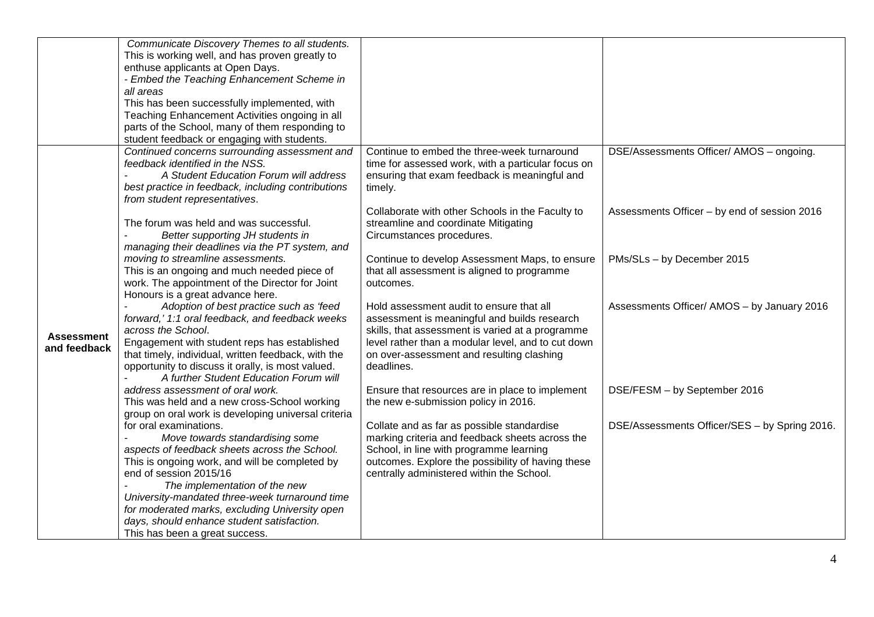|                                   | Communicate Discovery Themes to all students.<br>This is working well, and has proven greatly to<br>enthuse applicants at Open Days.<br>- Embed the Teaching Enhancement Scheme in<br>all areas<br>This has been successfully implemented, with<br>Teaching Enhancement Activities ongoing in all                                                                                                           |                                                                                                                                                                                                                                                               |                                               |
|-----------------------------------|-------------------------------------------------------------------------------------------------------------------------------------------------------------------------------------------------------------------------------------------------------------------------------------------------------------------------------------------------------------------------------------------------------------|---------------------------------------------------------------------------------------------------------------------------------------------------------------------------------------------------------------------------------------------------------------|-----------------------------------------------|
|                                   | parts of the School, many of them responding to<br>student feedback or engaging with students.                                                                                                                                                                                                                                                                                                              |                                                                                                                                                                                                                                                               |                                               |
|                                   | Continued concerns surrounding assessment and<br>feedback identified in the NSS.<br>A Student Education Forum will address<br>best practice in feedback, including contributions<br>from student representatives.                                                                                                                                                                                           | Continue to embed the three-week turnaround<br>time for assessed work, with a particular focus on<br>ensuring that exam feedback is meaningful and<br>timely.                                                                                                 | DSE/Assessments Officer/ AMOS - ongoing.      |
|                                   | The forum was held and was successful.<br>Better supporting JH students in<br>managing their deadlines via the PT system, and                                                                                                                                                                                                                                                                               | Collaborate with other Schools in the Faculty to<br>streamline and coordinate Mitigating<br>Circumstances procedures.                                                                                                                                         | Assessments Officer - by end of session 2016  |
|                                   | moving to streamline assessments.<br>This is an ongoing and much needed piece of<br>work. The appointment of the Director for Joint<br>Honours is a great advance here.                                                                                                                                                                                                                                     | Continue to develop Assessment Maps, to ensure<br>that all assessment is aligned to programme<br>outcomes.                                                                                                                                                    | PMs/SLs - by December 2015                    |
| <b>Assessment</b><br>and feedback | Adoption of best practice such as 'feed<br>forward,' 1:1 oral feedback, and feedback weeks<br>across the School.<br>Engagement with student reps has established<br>that timely, individual, written feedback, with the<br>opportunity to discuss it orally, is most valued.<br>A further Student Education Forum will                                                                                      | Hold assessment audit to ensure that all<br>assessment is meaningful and builds research<br>skills, that assessment is varied at a programme<br>level rather than a modular level, and to cut down<br>on over-assessment and resulting clashing<br>deadlines. | Assessments Officer/ AMOS - by January 2016   |
|                                   | address assessment of oral work.<br>This was held and a new cross-School working<br>group on oral work is developing universal criteria                                                                                                                                                                                                                                                                     | Ensure that resources are in place to implement<br>the new e-submission policy in 2016.                                                                                                                                                                       | DSE/FESM - by September 2016                  |
|                                   | for oral examinations.<br>Move towards standardising some<br>aspects of feedback sheets across the School.<br>This is ongoing work, and will be completed by<br>end of session 2015/16<br>The implementation of the new<br>University-mandated three-week turnaround time<br>for moderated marks, excluding University open<br>days, should enhance student satisfaction.<br>This has been a great success. | Collate and as far as possible standardise<br>marking criteria and feedback sheets across the<br>School, in line with programme learning<br>outcomes. Explore the possibility of having these<br>centrally administered within the School.                    | DSE/Assessments Officer/SES - by Spring 2016. |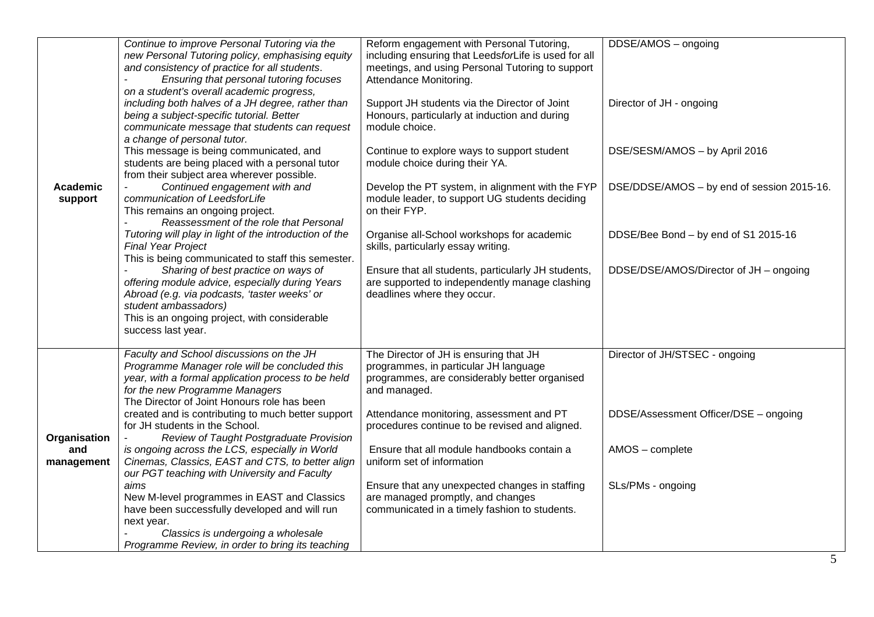| Academic<br>support               | Continue to improve Personal Tutoring via the<br>new Personal Tutoring policy, emphasising equity<br>and consistency of practice for all students.<br>Ensuring that personal tutoring focuses<br>on a student's overall academic progress,<br>including both halves of a JH degree, rather than<br>being a subject-specific tutorial. Better<br>communicate message that students can request<br>a change of personal tutor.<br>This message is being communicated, and<br>students are being placed with a personal tutor<br>from their subject area wherever possible.<br>Continued engagement with and<br>communication of LeedsforLife<br>This remains an ongoing project.<br>Reassessment of the role that Personal<br>Tutoring will play in light of the introduction of the<br><b>Final Year Project</b><br>This is being communicated to staff this semester.<br>Sharing of best practice on ways of<br>offering module advice, especially during Years<br>Abroad (e.g. via podcasts, 'taster weeks' or<br>student ambassadors)<br>This is an ongoing project, with considerable | Reform engagement with Personal Tutoring,<br>including ensuring that LeedsforLife is used for all<br>meetings, and using Personal Tutoring to support<br>Attendance Monitoring.<br>Support JH students via the Director of Joint<br>Honours, particularly at induction and during<br>module choice.<br>Continue to explore ways to support student<br>module choice during their YA.<br>Develop the PT system, in alignment with the FYP<br>module leader, to support UG students deciding<br>on their FYP.<br>Organise all-School workshops for academic<br>skills, particularly essay writing.<br>Ensure that all students, particularly JH students,<br>are supported to independently manage clashing<br>deadlines where they occur. | DDSE/AMOS - ongoing<br>Director of JH - ongoing<br>DSE/SESM/AMOS - by April 2016<br>DSE/DDSE/AMOS - by end of session 2015-16.<br>DDSE/Bee Bond - by end of S1 2015-16<br>DDSE/DSE/AMOS/Director of JH - ongoing |
|-----------------------------------|------------------------------------------------------------------------------------------------------------------------------------------------------------------------------------------------------------------------------------------------------------------------------------------------------------------------------------------------------------------------------------------------------------------------------------------------------------------------------------------------------------------------------------------------------------------------------------------------------------------------------------------------------------------------------------------------------------------------------------------------------------------------------------------------------------------------------------------------------------------------------------------------------------------------------------------------------------------------------------------------------------------------------------------------------------------------------------------|------------------------------------------------------------------------------------------------------------------------------------------------------------------------------------------------------------------------------------------------------------------------------------------------------------------------------------------------------------------------------------------------------------------------------------------------------------------------------------------------------------------------------------------------------------------------------------------------------------------------------------------------------------------------------------------------------------------------------------------|------------------------------------------------------------------------------------------------------------------------------------------------------------------------------------------------------------------|
| Organisation<br>and<br>management | success last year.<br>Faculty and School discussions on the JH<br>Programme Manager role will be concluded this<br>year, with a formal application process to be held<br>for the new Programme Managers<br>The Director of Joint Honours role has been<br>created and is contributing to much better support<br>for JH students in the School.<br>Review of Taught Postgraduate Provision<br>is ongoing across the LCS, especially in World<br>Cinemas, Classics, EAST and CTS, to better align<br>our PGT teaching with University and Faculty<br>aims<br>New M-level programmes in EAST and Classics<br>have been successfully developed and will run<br>next year.<br>Classics is undergoing a wholesale<br>Programme Review, in order to bring its teaching                                                                                                                                                                                                                                                                                                                          | The Director of JH is ensuring that JH<br>programmes, in particular JH language<br>programmes, are considerably better organised<br>and managed.<br>Attendance monitoring, assessment and PT<br>procedures continue to be revised and aligned.<br>Ensure that all module handbooks contain a<br>uniform set of information<br>Ensure that any unexpected changes in staffing<br>are managed promptly, and changes<br>communicated in a timely fashion to students.                                                                                                                                                                                                                                                                       | Director of JH/STSEC - ongoing<br>DDSE/Assessment Officer/DSE - ongoing<br>AMOS - complete<br>SLs/PMs - ongoing                                                                                                  |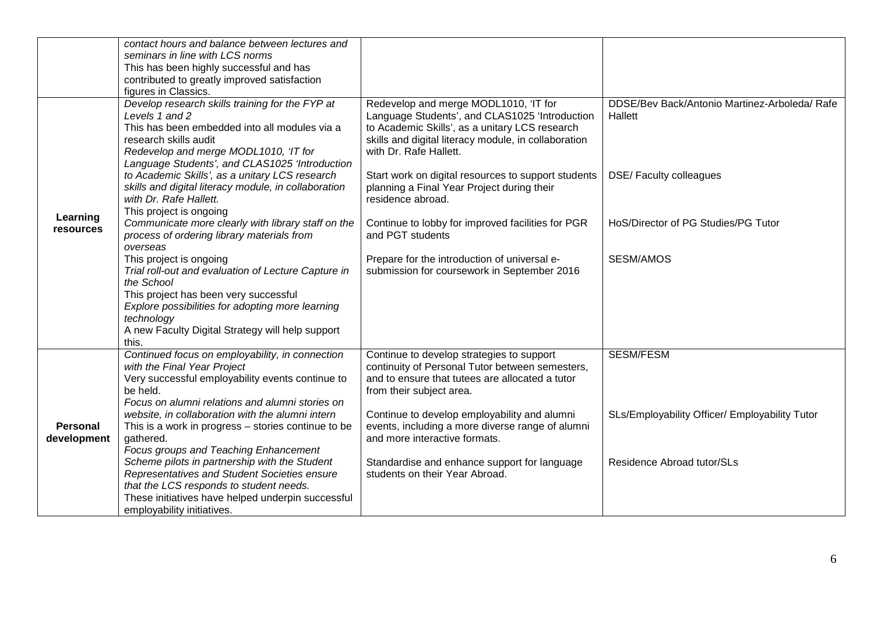|                         | contact hours and balance between lectures and<br>seminars in line with LCS norms<br>This has been highly successful and has<br>contributed to greatly improved satisfaction<br>figures in Classics.                                                                             |                                                                                                                                                                                                                             |                                                          |
|-------------------------|----------------------------------------------------------------------------------------------------------------------------------------------------------------------------------------------------------------------------------------------------------------------------------|-----------------------------------------------------------------------------------------------------------------------------------------------------------------------------------------------------------------------------|----------------------------------------------------------|
|                         | Develop research skills training for the FYP at<br>Levels 1 and 2<br>This has been embedded into all modules via a<br>research skills audit<br>Redevelop and merge MODL1010, 'IT for<br>Language Students', and CLAS1025 'Introduction                                           | Redevelop and merge MODL1010, 'IT for<br>Language Students', and CLAS1025 'Introduction<br>to Academic Skills', as a unitary LCS research<br>skills and digital literacy module, in collaboration<br>with Dr. Rafe Hallett. | DDSE/Bev Back/Antonio Martinez-Arboleda/ Rafe<br>Hallett |
|                         | to Academic Skills', as a unitary LCS research<br>skills and digital literacy module, in collaboration<br>with Dr. Rafe Hallett.<br>This project is ongoing                                                                                                                      | Start work on digital resources to support students<br>planning a Final Year Project during their<br>residence abroad.                                                                                                      | DSE/Faculty colleagues                                   |
| Learning<br>resources   | Communicate more clearly with library staff on the<br>process of ordering library materials from                                                                                                                                                                                 | Continue to lobby for improved facilities for PGR<br>and PGT students                                                                                                                                                       | HoS/Director of PG Studies/PG Tutor                      |
|                         | overseas<br>This project is ongoing<br>Trial roll-out and evaluation of Lecture Capture in<br>the School<br>This project has been very successful<br>Explore possibilities for adopting more learning<br>technology<br>A new Faculty Digital Strategy will help support<br>this. | Prepare for the introduction of universal e-<br>submission for coursework in September 2016                                                                                                                                 | <b>SESM/AMOS</b>                                         |
|                         | Continued focus on employability, in connection<br>with the Final Year Project<br>Very successful employability events continue to<br>be held.<br>Focus on alumni relations and alumni stories on                                                                                | Continue to develop strategies to support<br>continuity of Personal Tutor between semesters,<br>and to ensure that tutees are allocated a tutor<br>from their subject area.                                                 | <b>SESM/FESM</b>                                         |
| Personal<br>development | website, in collaboration with the alumni intern<br>This is a work in progress $-$ stories continue to be<br>gathered.<br>Focus groups and Teaching Enhancement                                                                                                                  | Continue to develop employability and alumni<br>events, including a more diverse range of alumni<br>and more interactive formats.                                                                                           | SLs/Employability Officer/ Employability Tutor           |
|                         | Scheme pilots in partnership with the Student<br>Representatives and Student Societies ensure<br>that the LCS responds to student needs.<br>These initiatives have helped underpin successful<br>employability initiatives.                                                      | Standardise and enhance support for language<br>students on their Year Abroad.                                                                                                                                              | Residence Abroad tutor/SLs                               |